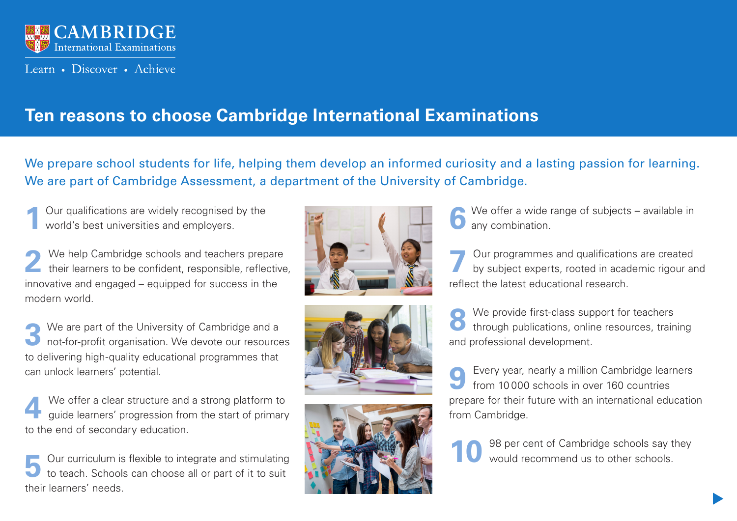

Learn • Discover • Achieve

# **Ten reasons to choose Cambridge International Examinations**

We prepare school students for life, helping them develop an informed curiosity and a lasting passion for learning. We are part of Cambridge Assessment, a department of the University of Cambridge.

**1** Our qualifications are widely recognised by the world's best universities and employers.

2 We help Cambridge schools and teachers prepare their learners to be confident, responsible, reflective, innovative and engaged – equipped for success in the modern world.

**3** We are part of the University of Cambridge and a not-for-profit organisation. We devote our resources to delivering high-quality educational programmes that can unlock learners' potential.

**4** We offer a clear structure and a strong platform to guide learners' progression from the start of primary to the end of secondary education.

**5** Our curriculum is flexible to integrate and stimulating to teach. Schools can choose all or part of it to suit their learners' needs.







We offer a wide range of subjects – available in any combination.

**7** Our programmes and qualifications are created by subject experts, rooted in academic rigour and reflect the latest educational research.

**8** We provide first-class support for teachers<br>through publications, online resources, training and professional development.

**9** Every year, nearly a million Cambridge learners from 10 000 schools in over 160 countries prepare for their future with an international education from Cambridge.

**10**  98 per cent of Cambridge schools say they would recommend us to other schools.